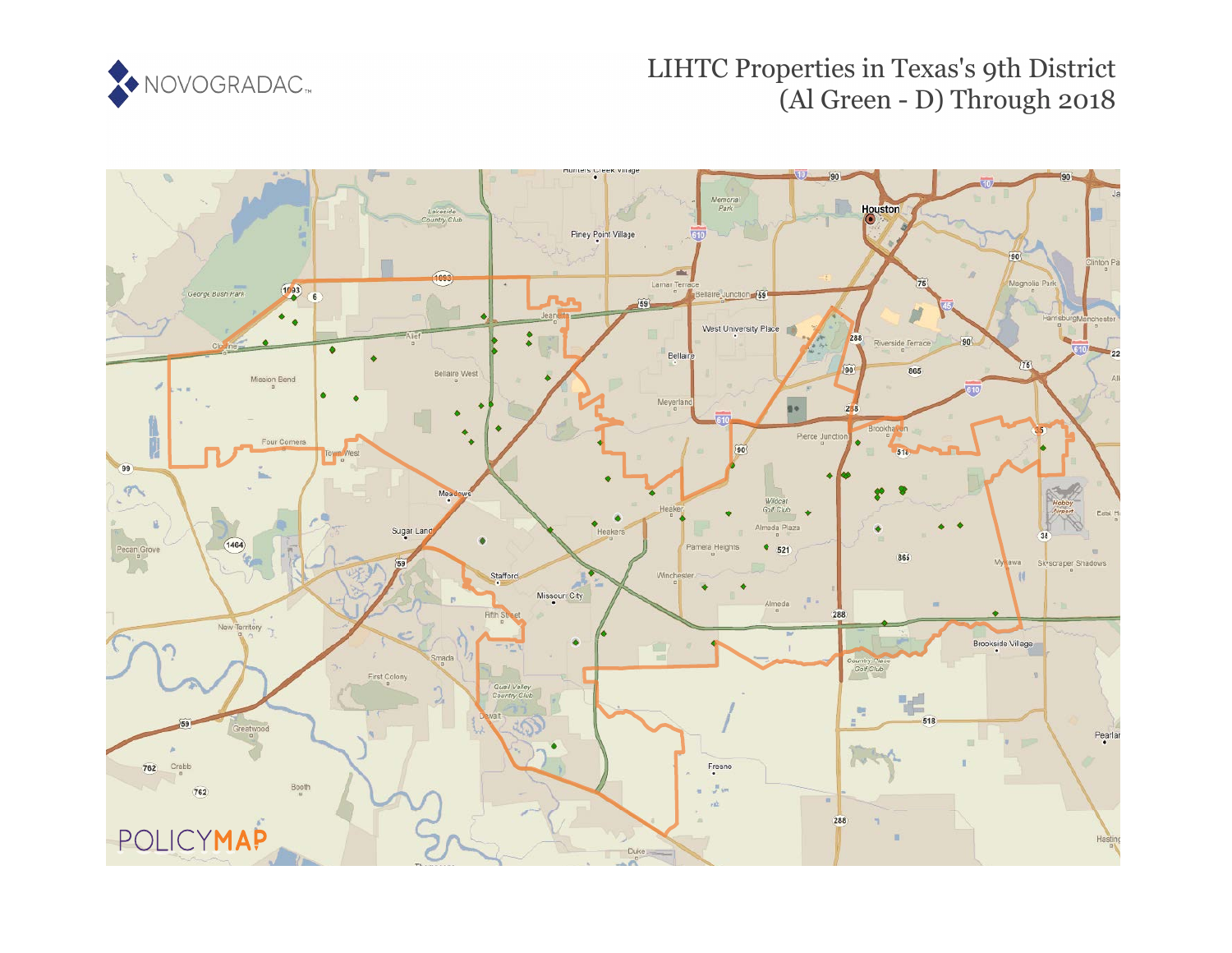

# LIHTC Properties in Texas's 9th District (Al Green - D) Through 2018

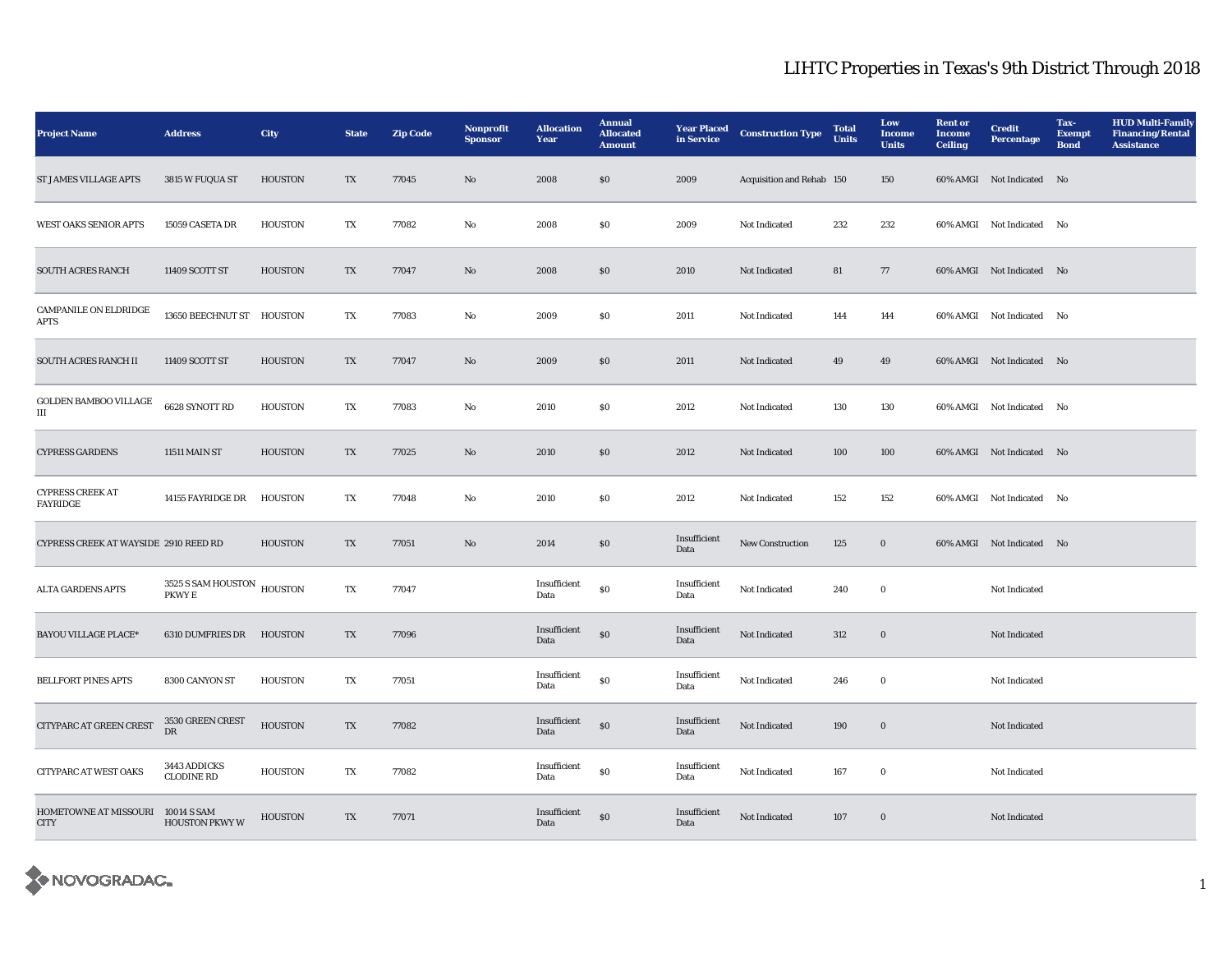| <b>Project Name</b>                              | <b>Address</b>                       | City           | <b>State</b>            | <b>Zip Code</b> | <b>Nonprofit</b><br><b>Sponsor</b> | <b>Allocation</b><br>Year | <b>Annual</b><br><b>Allocated</b><br><b>Amount</b> | <b>Year Placed</b><br>in Service | <b>Construction Type</b>  | <b>Total</b><br><b>Units</b> | Low<br><b>Income</b><br><b>Units</b> | <b>Rent or</b><br><b>Income</b><br><b>Ceiling</b> | <b>Credit</b><br><b>Percentage</b> | Tax-<br><b>Exempt</b><br><b>Bond</b> | <b>HUD Multi-Family</b><br><b>Financing/Rental</b><br><b>Assistance</b> |
|--------------------------------------------------|--------------------------------------|----------------|-------------------------|-----------------|------------------------------------|---------------------------|----------------------------------------------------|----------------------------------|---------------------------|------------------------------|--------------------------------------|---------------------------------------------------|------------------------------------|--------------------------------------|-------------------------------------------------------------------------|
| <b>ST JAMES VILLAGE APTS</b>                     | 3815 W FUQUA ST                      | <b>HOUSTON</b> | TX                      | 77045           | No                                 | 2008                      | $\$0$                                              | 2009                             | Acquisition and Rehab 150 |                              | 150                                  |                                                   | 60% AMGI Not Indicated No          |                                      |                                                                         |
| <b>WEST OAKS SENIOR APTS</b>                     | 15059 CASETA DR                      | <b>HOUSTON</b> | TX                      | 77082           | $\mathbf{No}$                      | 2008                      | \$0                                                | 2009                             | Not Indicated             | 232                          | 232                                  |                                                   | 60% AMGI Not Indicated No          |                                      |                                                                         |
| <b>SOUTH ACRES RANCH</b>                         | 11409 SCOTT ST                       | <b>HOUSTON</b> | TX                      | 77047           | No                                 | 2008                      | $\$0$                                              | 2010                             | Not Indicated             | 81                           | 77                                   |                                                   | 60% AMGI Not Indicated No          |                                      |                                                                         |
| CAMPANILE ON ELDRIDGE<br><b>APTS</b>             | 13650 BEECHNUT ST HOUSTON            |                | $\mathbf{T}\mathbf{X}$  | 77083           | $\mathbf{No}$                      | 2009                      | \$0                                                | 2011                             | Not Indicated             | 144                          | 144                                  |                                                   | 60% AMGI Not Indicated No          |                                      |                                                                         |
| SOUTH ACRES RANCH II                             | 11409 SCOTT ST                       | <b>HOUSTON</b> | TX                      | 77047           | No                                 | 2009                      | \$0                                                | 2011                             | Not Indicated             | 49                           | 49                                   |                                                   | 60% AMGI Not Indicated No          |                                      |                                                                         |
| <b>GOLDEN BAMBOO VILLAGE</b><br>Ш                | 6628 SYNOTT RD                       | <b>HOUSTON</b> | TX                      | 77083           | No                                 | 2010                      | $\$0$                                              | 2012                             | Not Indicated             | 130                          | 130                                  |                                                   | 60% AMGI Not Indicated No          |                                      |                                                                         |
| <b>CYPRESS GARDENS</b>                           | <b>11511 MAIN ST</b>                 | <b>HOUSTON</b> | $\mathbf{T} \mathbf{X}$ | 77025           | No                                 | 2010                      | $\$0$                                              | 2012                             | Not Indicated             | 100                          | 100                                  |                                                   | 60% AMGI Not Indicated No          |                                      |                                                                         |
| <b>CYPRESS CREEK AT</b><br><b>FAYRIDGE</b>       | 14155 FAYRIDGE DR                    | <b>HOUSTON</b> | TX                      | 77048           | $\mathbf {No}$                     | 2010                      | \$0                                                | 2012                             | Not Indicated             | 152                          | 152                                  |                                                   | 60% AMGI Not Indicated No          |                                      |                                                                         |
| CYPRESS CREEK AT WAYSIDE 2910 REED RD            |                                      | <b>HOUSTON</b> | TX                      | 77051           | $\rm No$                           | 2014                      | $\$0$                                              | Insufficient<br>Data             | New Construction          | 125                          | $\bf{0}$                             |                                                   | 60% AMGI Not Indicated No          |                                      |                                                                         |
| <b>ALTA GARDENS APTS</b>                         | 3525 S SAM HOUSTON HOUSTON<br>PKWY E |                | $\mathbf{T}\mathbf{X}$  | 77047           |                                    | Insufficient<br>Data      | $\$0$                                              | Insufficient<br>Data             | Not Indicated             | 240                          | $\bf{0}$                             |                                                   | Not Indicated                      |                                      |                                                                         |
| <b>BAYOU VILLAGE PLACE*</b>                      | 6310 DUMFRIES DR                     | <b>HOUSTON</b> | TX                      | 77096           |                                    | Insufficient<br>Data      | $\$0$                                              | Insufficient<br>Data             | Not Indicated             | 312                          | $\bf{0}$                             |                                                   | Not Indicated                      |                                      |                                                                         |
| <b>BELLFORT PINES APTS</b>                       | 8300 CANYON ST                       | <b>HOUSTON</b> | TX                      | 77051           |                                    | Insufficient<br>Data      | $\$0$                                              | Insufficient<br>Data             | Not Indicated             | 246                          | $\bf{0}$                             |                                                   | Not Indicated                      |                                      |                                                                         |
| CITYPARC AT GREEN CREST                          | 3530 GREEN CREST<br>DR               | <b>HOUSTON</b> | $\mathbf{T}\mathbf{X}$  | 77082           |                                    | Insufficient<br>Data      | $\$0$                                              | Insufficient<br>Data             | Not Indicated             | 190                          | $\bf{0}$                             |                                                   | Not Indicated                      |                                      |                                                                         |
| <b>CITYPARC AT WEST OAKS</b>                     | 3443 ADDICKS<br><b>CLODINE RD</b>    | <b>HOUSTON</b> | $\mathbf{T}\mathbf{X}$  | 77082           |                                    | Insufficient<br>Data      | $\$0$                                              | Insufficient<br>Data             | Not Indicated             | 167                          | $\mathbf 0$                          |                                                   | Not Indicated                      |                                      |                                                                         |
| HOMETOWNE AT MISSOURI 10014 S SAM<br><b>CITY</b> | <b>HOUSTON PKWY W</b>                | <b>HOUSTON</b> | TX                      | 77071           |                                    | Insufficient<br>Data      | $\$0$                                              | Insufficient<br>Data             | Not Indicated             | 107                          | $\boldsymbol{0}$                     |                                                   | Not Indicated                      |                                      |                                                                         |

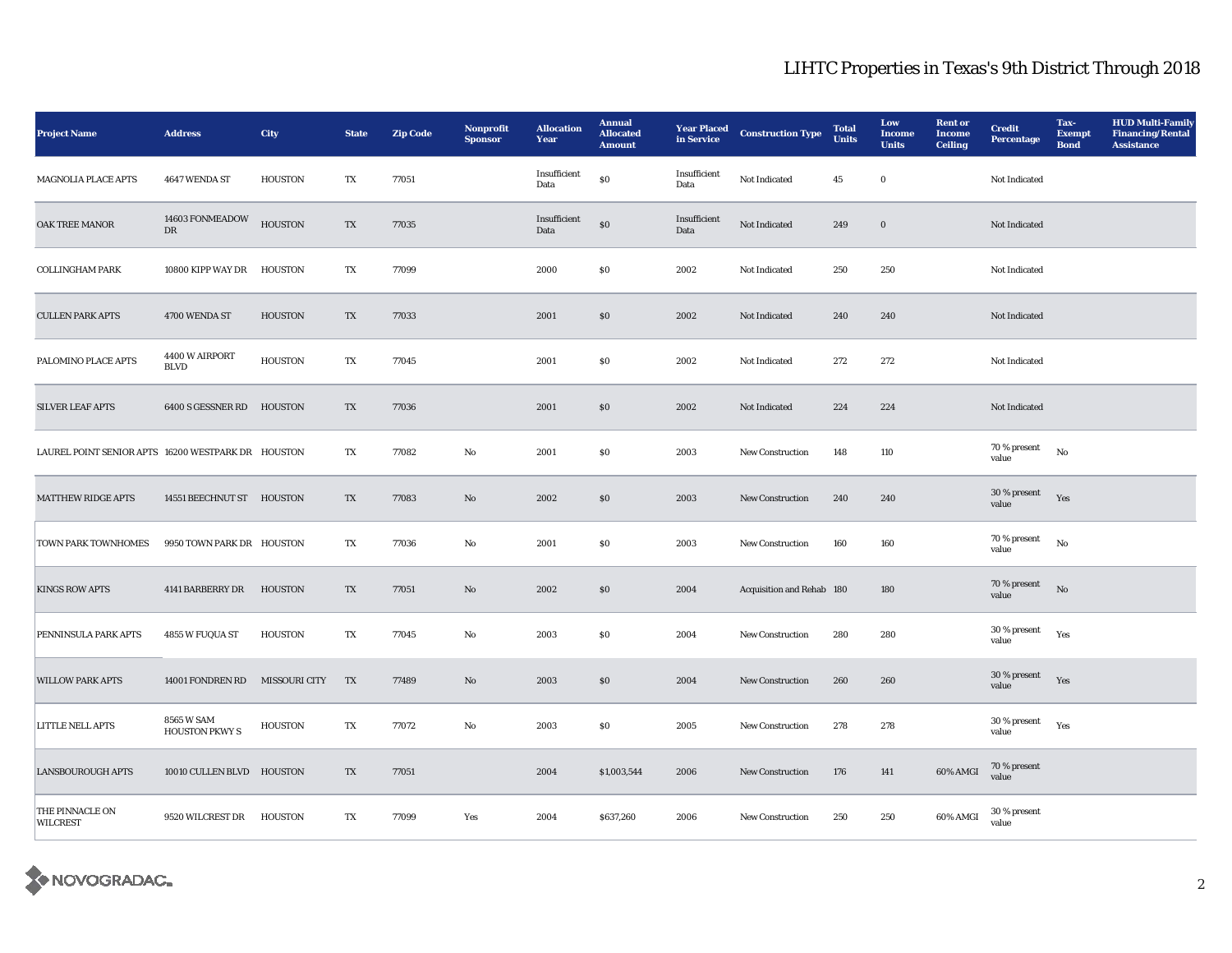| <b>Project Name</b>                                | <b>Address</b>                      | <b>City</b>          | <b>State</b> | <b>Zip Code</b> | Nonprofit<br><b>Sponsor</b> | <b>Allocation</b><br>Year | <b>Annual</b><br><b>Allocated</b><br><b>Amount</b> | <b>Year Placed</b><br>in Service | <b>Construction Type</b>  | <b>Total</b><br><b>Units</b> | Low<br><b>Income</b><br><b>Units</b> | <b>Rent or</b><br><b>Income</b><br><b>Ceiling</b> | <b>Credit</b><br>Percentage | Tax-<br><b>Exempt</b><br><b>Bond</b> | <b>HUD Multi-Family</b><br><b>Financing/Rental</b><br>Assistance |
|----------------------------------------------------|-------------------------------------|----------------------|--------------|-----------------|-----------------------------|---------------------------|----------------------------------------------------|----------------------------------|---------------------------|------------------------------|--------------------------------------|---------------------------------------------------|-----------------------------|--------------------------------------|------------------------------------------------------------------|
| <b>MAGNOLIA PLACE APTS</b>                         | 4647 WENDA ST                       | <b>HOUSTON</b>       | TX           | 77051           |                             | Insufficient<br>Data      | $\$0$                                              | Insufficient<br>Data             | Not Indicated             | 45                           | $\bf{0}$                             |                                                   | Not Indicated               |                                      |                                                                  |
| OAK TREE MANOR                                     | 14603 FONMEADOW<br><b>DR</b>        | <b>HOUSTON</b>       | TX           | 77035           |                             | Insufficient<br>Data      | $\$0$                                              | Insufficient<br>Data             | Not Indicated             | 249                          | $\bf{0}$                             |                                                   | Not Indicated               |                                      |                                                                  |
| <b>COLLINGHAM PARK</b>                             | 10800 KIPP WAY DR                   | <b>HOUSTON</b>       | TX           | 77099           |                             | 2000                      | \$0                                                | 2002                             | Not Indicated             | 250                          | 250                                  |                                                   | Not Indicated               |                                      |                                                                  |
| <b>CULLEN PARK APTS</b>                            | 4700 WENDA ST                       | <b>HOUSTON</b>       | TX           | 77033           |                             | 2001                      | $\$0$                                              | 2002                             | Not Indicated             | 240                          | 240                                  |                                                   | Not Indicated               |                                      |                                                                  |
| PALOMINO PLACE APTS                                | 4400 W AIRPORT<br><b>BLVD</b>       | <b>HOUSTON</b>       | TX           | 77045           |                             | 2001                      | \$0                                                | 2002                             | Not Indicated             | 272                          | 272                                  |                                                   | Not Indicated               |                                      |                                                                  |
| <b>SILVER LEAF APTS</b>                            | 6400 S GESSNER RD HOUSTON           |                      | TX           | 77036           |                             | 2001                      | $\$0$                                              | 2002                             | Not Indicated             | 224                          | 224                                  |                                                   | Not Indicated               |                                      |                                                                  |
| LAUREL POINT SENIOR APTS 16200 WESTPARK DR HOUSTON |                                     |                      | TX           | 77082           | $\mathbf{No}$               | 2001                      | \$0                                                | 2003                             | <b>New Construction</b>   | 148                          | 110                                  |                                                   | 70 % present<br>value       | No                                   |                                                                  |
| <b>MATTHEW RIDGE APTS</b>                          | 14551 BEECHNUT ST HOUSTON           |                      | TX           | 77083           | No                          | 2002                      | \$0                                                | 2003                             | <b>New Construction</b>   | 240                          | 240                                  |                                                   | 30 % present<br>value       | Yes                                  |                                                                  |
| TOWN PARK TOWNHOMES                                | 9950 TOWN PARK DR HOUSTON           |                      | TX           | 77036           | No                          | 2001                      | \$0                                                | 2003                             | <b>New Construction</b>   | 160                          | 160                                  |                                                   | 70 % present<br>value       | No                                   |                                                                  |
| <b>KINGS ROW APTS</b>                              | 4141 BARBERRY DR                    | <b>HOUSTON</b>       | TX           | 77051           | No                          | 2002                      | \$0                                                | 2004                             | Acquisition and Rehab 180 |                              | 180                                  |                                                   | 70 % present<br>value       | No                                   |                                                                  |
| PENNINSULA PARK APTS                               | 4855 W FUQUA ST                     | <b>HOUSTON</b>       | TX           | 77045           | $\rm No$                    | 2003                      | $\$0$                                              | 2004                             | <b>New Construction</b>   | 280                          | 280                                  |                                                   | 30 % present<br>value       | Yes                                  |                                                                  |
| <b>WILLOW PARK APTS</b>                            | 14001 FONDREN RD                    | <b>MISSOURI CITY</b> | TX           | 77489           | $\rm No$                    | 2003                      | $\$0$                                              | 2004                             | <b>New Construction</b>   | 260                          | 260                                  |                                                   | 30 % present<br>value       | Yes                                  |                                                                  |
| LITTLE NELL APTS                                   | 8565 W SAM<br><b>HOUSTON PKWY S</b> | <b>HOUSTON</b>       | TX           | 77072           | $\rm No$                    | 2003                      | S <sub>0</sub>                                     | 2005                             | New Construction          | 278                          | 278                                  |                                                   | 30 % present<br>value       | Yes                                  |                                                                  |
| <b>LANSBOUROUGH APTS</b>                           | 10010 CULLEN BLVD HOUSTON           |                      | TX           | 77051           |                             | 2004                      | \$1,003,544                                        | 2006                             | New Construction          | 176                          | 141                                  | <b>60% AMGI</b>                                   | 70 % present<br>value       |                                      |                                                                  |
| THE PINNACLE ON<br><b>WILCREST</b>                 | 9520 WILCREST DR                    | <b>HOUSTON</b>       | TX           | 77099           | Yes                         | 2004                      | \$637,260                                          | 2006                             | New Construction          | 250                          | 250                                  | 60% AMGI                                          | 30 % present<br>value       |                                      |                                                                  |

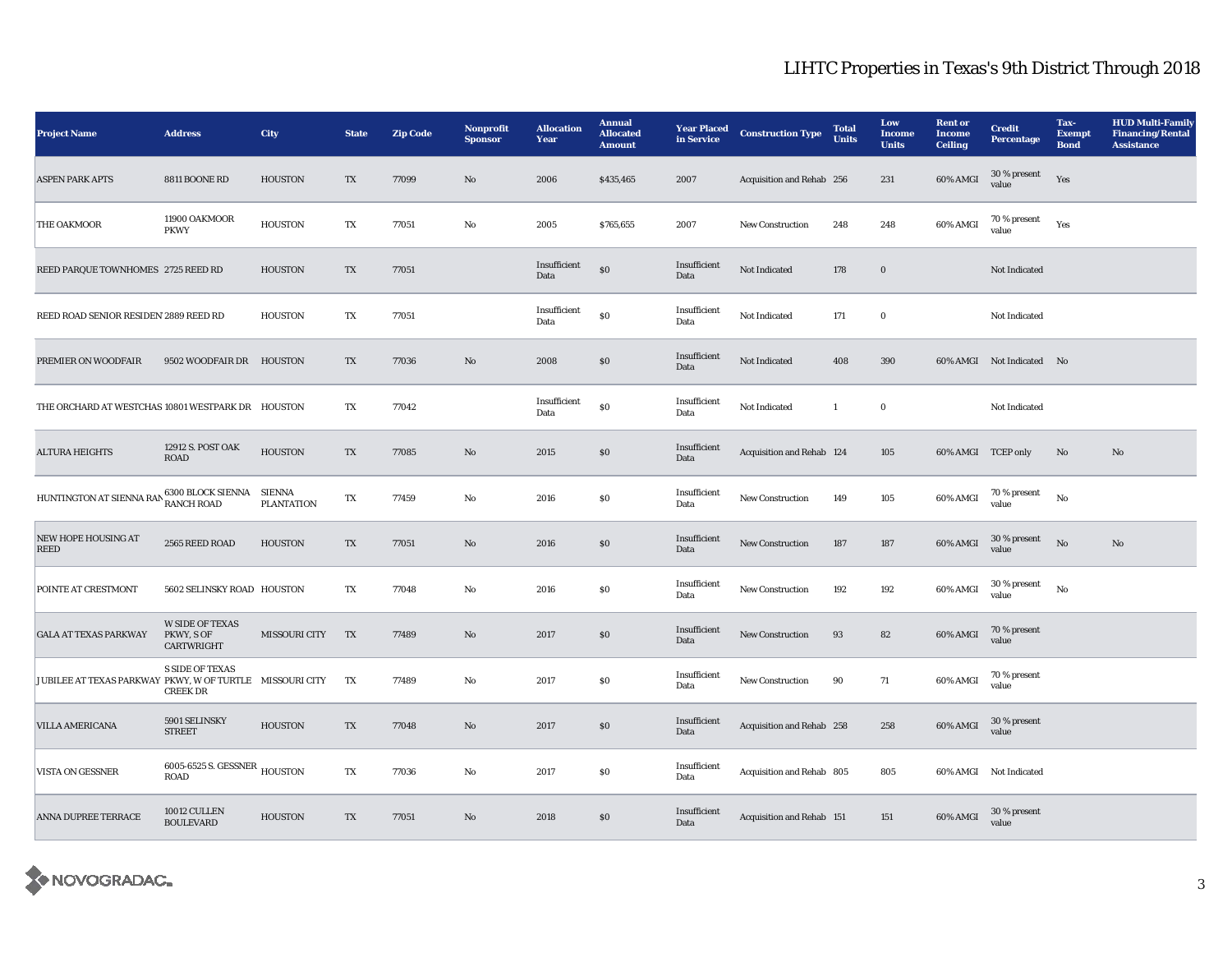| <b>Project Name</b>                                      | <b>Address</b>                                     | <b>City</b>          | <b>State</b>             | <b>Zip Code</b> | Nonprofit<br><b>Sponsor</b> | <b>Allocation</b><br>Year | <b>Annual</b><br><b>Allocated</b><br><b>Amount</b> | <b>Year Placed</b><br>in Service | <b>Construction Type</b>  | <b>Total</b><br><b>Units</b> | Low<br><b>Income</b><br><b>Units</b> | <b>Rent</b> or<br><b>Income</b><br><b>Ceiling</b> | <b>Credit</b><br><b>Percentage</b> | Tax-<br><b>Exempt</b><br><b>Bond</b> | <b>HUD Multi-Family</b><br><b>Financing/Rental</b><br><b>Assistance</b> |
|----------------------------------------------------------|----------------------------------------------------|----------------------|--------------------------|-----------------|-----------------------------|---------------------------|----------------------------------------------------|----------------------------------|---------------------------|------------------------------|--------------------------------------|---------------------------------------------------|------------------------------------|--------------------------------------|-------------------------------------------------------------------------|
| <b>ASPEN PARK APTS</b>                                   | 8811 BOONE RD                                      | <b>HOUSTON</b>       | TX                       | 77099           | No                          | 2006                      | \$435,465                                          | 2007                             | Acquisition and Rehab 256 |                              | 231                                  | 60% AMGI                                          | $30\,\%$ present<br>value          | Yes                                  |                                                                         |
| THE OAKMOOR                                              | 11900 OAKMOOR<br><b>PKWY</b>                       | <b>HOUSTON</b>       | TX                       | 77051           | No                          | 2005                      | \$765,655                                          | 2007                             | New Construction          | 248                          | 248                                  | 60% AMGI                                          | 70 % present<br>value              | Yes                                  |                                                                         |
| REED PARQUE TOWNHOMES 2725 REED RD                       |                                                    | <b>HOUSTON</b>       | $\mathbf{T}\mathbf{X}$   | 77051           |                             | Insufficient<br>Data      | $\$0$                                              | Insufficient<br>Data             | Not Indicated             | 178                          | $\mathbf 0$                          |                                                   | Not Indicated                      |                                      |                                                                         |
| REED ROAD SENIOR RESIDEN 2889 REED RD                    |                                                    | <b>HOUSTON</b>       | $\mathbf{T}\mathbf{X}$   | 77051           |                             | Insufficient<br>Data      | $\$0$                                              | Insufficient<br>Data             | Not Indicated             | 171                          | $\mathbf 0$                          |                                                   | Not Indicated                      |                                      |                                                                         |
| PREMIER ON WOODFAIR                                      | 9502 WOODFAIR DR                                   | <b>HOUSTON</b>       | TX                       | 77036           | No                          | 2008                      | $\$0$                                              | Insufficient<br>Data             | Not Indicated             | 408                          | 390                                  |                                                   | 60% AMGI Not Indicated No          |                                      |                                                                         |
| THE ORCHARD AT WESTCHAS 10801 WESTPARK DR HOUSTON        |                                                    |                      | $\mathbf{T}\mathbf{X}$   | 77042           |                             | Insufficient<br>Data      | $\$0$                                              | Insufficient<br>Data             | Not Indicated             | $\mathbf{1}$                 | $\mathbf 0$                          |                                                   | Not Indicated                      |                                      |                                                                         |
| <b>ALTURA HEIGHTS</b>                                    | 12912 S. POST OAK<br><b>ROAD</b>                   | <b>HOUSTON</b>       | $\mathcal{T}\mathcal{X}$ | 77085           | No                          | 2015                      | $\$0$                                              | Insufficient<br>Data             | Acquisition and Rehab 124 |                              | 105                                  | 60% AMGI TCEP only                                |                                    | No                                   | No                                                                      |
| HUNTINGTON AT SIENNA RAN                                 | 6300 BLOCK SIENNA SIENNA<br><b>RANCH ROAD</b>      | <b>PLANTATION</b>    | TX                       | 77459           | No                          | 2016                      | \$0                                                | Insufficient<br>Data             | <b>New Construction</b>   | 149                          | 105                                  | 60% AMGI                                          | $70$ % present<br>value            | $\mathbf{N}\mathbf{o}$               |                                                                         |
| <b>NEW HOPE HOUSING AT</b><br><b>REED</b>                | 2565 REED ROAD                                     | <b>HOUSTON</b>       | TX                       | 77051           | No                          | 2016                      | \$0                                                | Insufficient<br>Data             | <b>New Construction</b>   | 187                          | 187                                  | 60% AMGI                                          | $30\,\%$ present<br>value          | No                                   | No                                                                      |
| POINTE AT CRESTMONT                                      | 5602 SELINSKY ROAD HOUSTON                         |                      | TX                       | 77048           | No                          | 2016                      | \$0                                                | Insufficient<br>Data             | <b>New Construction</b>   | 192                          | 192                                  | 60% AMGI                                          | $30\,\%$ present<br>value          | No                                   |                                                                         |
| <b>GALA AT TEXAS PARKWAY</b>                             | <b>W SIDE OF TEXAS</b><br>PKWY, S OF<br>CARTWRIGHT | <b>MISSOURI CITY</b> | TX                       | 77489           | No                          | 2017                      | \$0                                                | Insufficient<br>Data             | <b>New Construction</b>   | 93                           | 82                                   | 60% AMGI                                          | 70 % present<br>value              |                                      |                                                                         |
| JUBILEE AT TEXAS PARKWAY PKWY, W OF TURTLE MISSOURI CITY | <b>S SIDE OF TEXAS</b><br><b>CREEK DR</b>          |                      | TX                       | 77489           | No                          | 2017                      | $\$0$                                              | Insufficient<br>Data             | New Construction          | 90                           | 71                                   | 60% AMGI                                          | 70 % present<br>value              |                                      |                                                                         |
| <b>VILLA AMERICANA</b>                                   | 5901 SELINSKY<br><b>STREET</b>                     | <b>HOUSTON</b>       | $\mathcal{T}\mathcal{X}$ | 77048           | $\mathbf {No}$              | 2017                      | $\$0$                                              | Insufficient<br>Data             | Acquisition and Rehab 258 |                              | 258                                  | 60% AMGI                                          | 30 % present<br>value              |                                      |                                                                         |
| VISTA ON GESSNER                                         | 6005-6525 S. GESSNER HOUSTON<br><b>ROAD</b>        |                      | $\mathbf{T}\mathbf{X}$   | 77036           | No                          | 2017                      | $\$0$                                              | Insufficient<br>Data             | Acquisition and Rehab 805 |                              | 805                                  |                                                   | 60% AMGI Not Indicated             |                                      |                                                                         |
| ANNA DUPREE TERRACE                                      | 10012 CULLEN<br><b>BOULEVARD</b>                   | <b>HOUSTON</b>       | TX                       | 77051           | $\mathbf{No}$               | 2018                      | \$0                                                | Insufficient<br>Data             | Acquisition and Rehab 151 |                              | 151                                  | 60% AMGI                                          | 30 % present<br>value              |                                      |                                                                         |

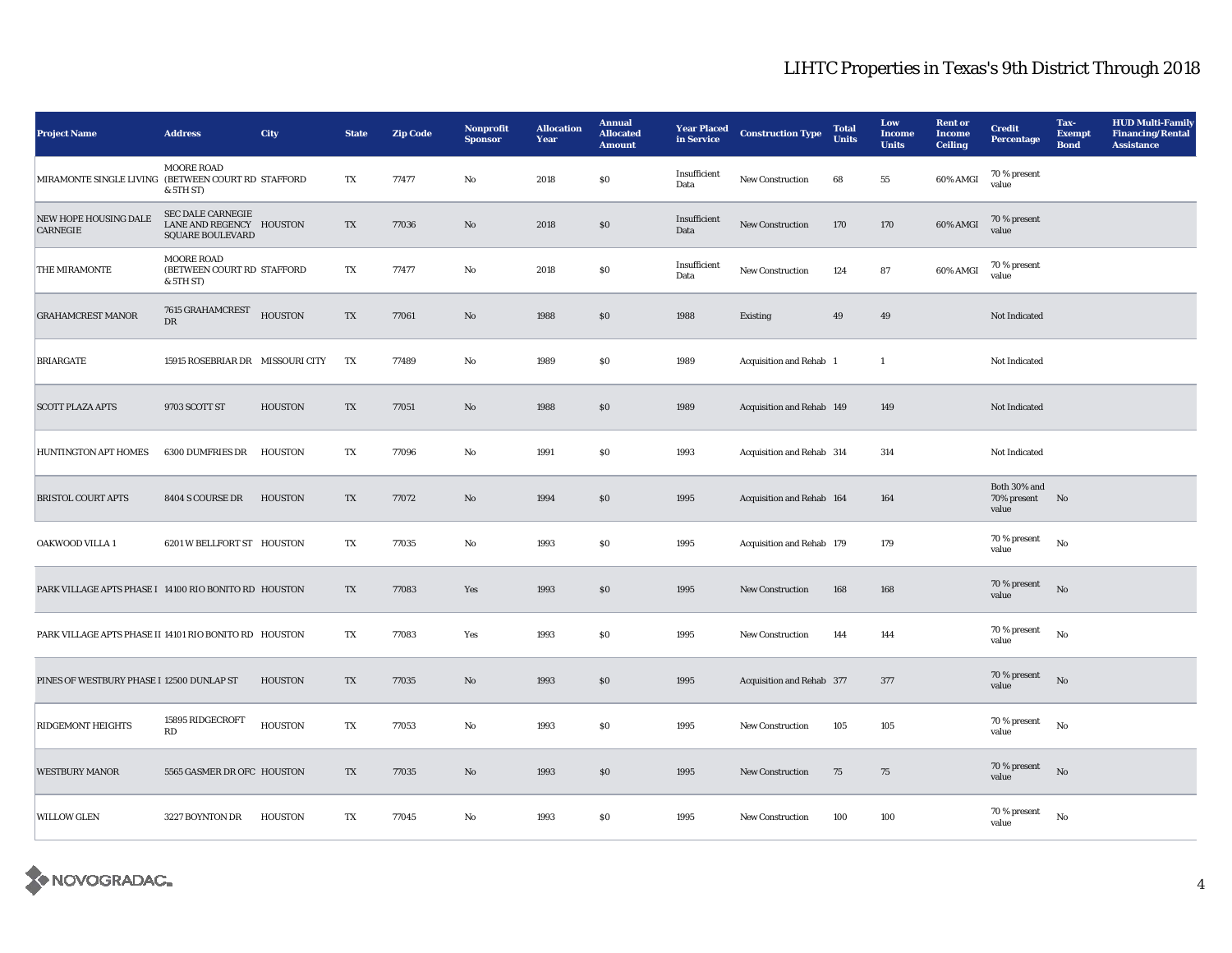| <b>Project Name</b>                                    | <b>Address</b>                                                                  | <b>City</b>    | <b>State</b> | <b>Zip Code</b> | Nonprofit<br><b>Sponsor</b> | <b>Allocation</b><br>Year | <b>Annual</b><br><b>Allocated</b><br><b>Amount</b> | <b>Year Placed</b><br>in Service | <b>Construction Type</b>  | <b>Total</b><br><b>Units</b> | Low<br><b>Income</b><br><b>Units</b> | <b>Rent or</b><br><b>Income</b><br><b>Ceiling</b> | <b>Credit</b><br><b>Percentage</b>      | Tax-<br><b>Exempt</b><br><b>Bond</b> | <b>HUD Multi-Family</b><br><b>Financing/Rental</b><br><b>Assistance</b> |
|--------------------------------------------------------|---------------------------------------------------------------------------------|----------------|--------------|-----------------|-----------------------------|---------------------------|----------------------------------------------------|----------------------------------|---------------------------|------------------------------|--------------------------------------|---------------------------------------------------|-----------------------------------------|--------------------------------------|-------------------------------------------------------------------------|
| MIRAMONTE SINGLE LIVING (BETWEEN COURT RD STAFFORD     | <b>MOORE ROAD</b><br>& 5TH ST)                                                  |                | TX           | 77477           | $\mathbf{No}$               | 2018                      | \$0                                                | Insufficient<br>Data             | New Construction          | 68                           | 55                                   | 60% AMGI                                          | 70 % present<br>value                   |                                      |                                                                         |
| NEW HOPE HOUSING DALE<br><b>CARNEGIE</b>               | <b>SEC DALE CARNEGIE</b><br>LANE AND REGENCY HOUSTON<br><b>SQUARE BOULEVARD</b> |                | TX           | 77036           | No                          | 2018                      | \$0                                                | Insufficient<br>Data             | New Construction          | 170                          | 170                                  | 60% AMGI                                          | 70 % present<br>value                   |                                      |                                                                         |
| THE MIRAMONTE                                          | <b>MOORE ROAD</b><br>(BETWEEN COURT RD STAFFORD<br>& 5TH ST)                    |                | TX           | 77477           | No                          | 2018                      | S <sub>0</sub>                                     | Insufficient<br>Data             | <b>New Construction</b>   | 124                          | 87                                   | 60% AMGI                                          | 70 % present<br>value                   |                                      |                                                                         |
| <b>GRAHAMCREST MANOR</b>                               | 7615 GRAHAMCREST<br>DR                                                          | <b>HOUSTON</b> | TX           | 77061           | $\mathbf{N}\mathbf{o}$      | 1988                      | \$0                                                | 1988                             | Existing                  | 49                           | 49                                   |                                                   | Not Indicated                           |                                      |                                                                         |
| <b>BRIARGATE</b>                                       | 15915 ROSEBRIAR DR MISSOURI CITY                                                |                | TX           | 77489           | No                          | 1989                      | \$0                                                | 1989                             | Acquisition and Rehab 1   |                              | 1                                    |                                                   | Not Indicated                           |                                      |                                                                         |
| <b>SCOTT PLAZA APTS</b>                                | 9703 SCOTT ST                                                                   | <b>HOUSTON</b> | TX           | 77051           | No                          | 1988                      | \$0                                                | 1989                             | Acquisition and Rehab 149 |                              | 149                                  |                                                   | Not Indicated                           |                                      |                                                                         |
| HUNTINGTON APT HOMES                                   | 6300 DUMFRIES DR                                                                | HOUSTON        | TX           | 77096           | No                          | 1991                      | \$0                                                | 1993                             | Acquisition and Rehab 314 |                              | 314                                  |                                                   | Not Indicated                           |                                      |                                                                         |
| <b>BRISTOL COURT APTS</b>                              | 8404 S COURSE DR                                                                | <b>HOUSTON</b> | TX           | 77072           | $\mathbf{N}\mathbf{o}$      | 1994                      | \$0                                                | 1995                             | Acquisition and Rehab 164 |                              | 164                                  |                                                   | Both 30% and<br>70% present No<br>value |                                      |                                                                         |
| OAKWOOD VILLA 1                                        | 6201 W BELLFORT ST HOUSTON                                                      |                | TX           | 77035           | $\mathbf{N}\mathbf{o}$      | 1993                      | S <sub>0</sub>                                     | 1995                             | Acquisition and Rehab 179 |                              | 179                                  |                                                   | 70 % present<br>value                   | No                                   |                                                                         |
| PARK VILLAGE APTS PHASE I 14100 RIO BONITO RD HOUSTON  |                                                                                 |                | TX           | 77083           | Yes                         | 1993                      | <sub>so</sub>                                      | 1995                             | <b>New Construction</b>   | 168                          | 168                                  |                                                   | 70 % present<br>value                   | No                                   |                                                                         |
| PARK VILLAGE APTS PHASE II 14101 RIO BONITO RD HOUSTON |                                                                                 |                | TX           | 77083           | Yes                         | 1993                      | S <sub>0</sub>                                     | 1995                             | New Construction          | 144                          | 144                                  |                                                   | 70 % present<br>value                   | No                                   |                                                                         |
| PINES OF WESTBURY PHASE I 12500 DUNLAP ST              |                                                                                 | <b>HOUSTON</b> | TX           | 77035           | No                          | 1993                      | \$0                                                | 1995                             | Acquisition and Rehab 377 |                              | 377                                  |                                                   | 70 % present<br>value                   | $\mathbf{N}\mathbf{o}$               |                                                                         |
| <b>RIDGEMONT HEIGHTS</b>                               | 15895 RIDGECROFT<br>$\mathbf{R}\mathbf{D}$                                      | <b>HOUSTON</b> | TX           | 77053           | No                          | 1993                      | \$0                                                | 1995                             | <b>New Construction</b>   | 105                          | 105                                  |                                                   | 70 % present<br>value                   | No                                   |                                                                         |
| <b>WESTBURY MANOR</b>                                  | 5565 GASMER DR OFC HOUSTON                                                      |                | TX           | 77035           | $\mathbf{N}\mathbf{o}$      | 1993                      | <sub>so</sub>                                      | 1995                             | New Construction          | $75\,$                       | 75                                   |                                                   | 70 % present<br>value                   | No                                   |                                                                         |
| <b>WILLOW GLEN</b>                                     | 3227 BOYNTON DR                                                                 | <b>HOUSTON</b> | TX           | 77045           | No                          | 1993                      | S <sub>0</sub>                                     | 1995                             | New Construction          | 100                          | 100                                  |                                                   | 70 % present<br>value                   | No                                   |                                                                         |